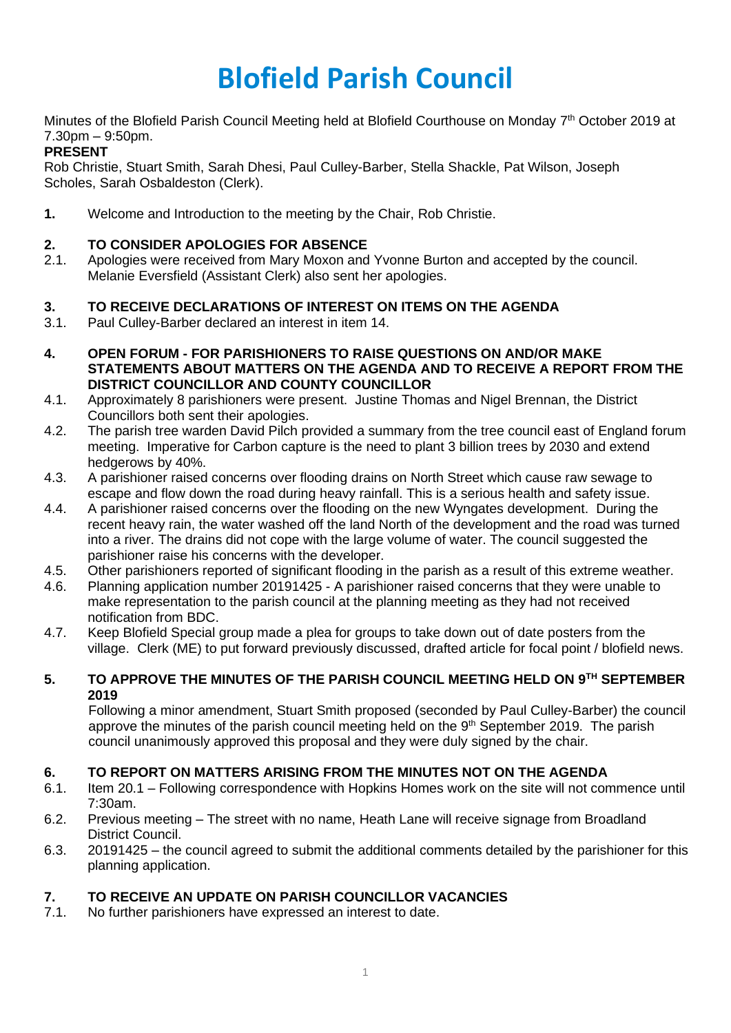# **Blofield Parish Council**

Minutes of the Blofield Parish Council Meeting held at Blofield Courthouse on Monday 7<sup>th</sup> October 2019 at 7.30pm – 9:50pm.

# **PRESENT**

Rob Christie, Stuart Smith, Sarah Dhesi, Paul Culley-Barber, Stella Shackle, Pat Wilson, Joseph Scholes, Sarah Osbaldeston (Clerk).

**1.** Welcome and Introduction to the meeting by the Chair, Rob Christie.

# **2. TO CONSIDER APOLOGIES FOR ABSENCE**

2.1. Apologies were received from Mary Moxon and Yvonne Burton and accepted by the council. Melanie Eversfield (Assistant Clerk) also sent her apologies.

# **3. TO RECEIVE DECLARATIONS OF INTEREST ON ITEMS ON THE AGENDA**

- 3.1. Paul Culley-Barber declared an interest in item 14.
- **4. OPEN FORUM - FOR PARISHIONERS TO RAISE QUESTIONS ON AND/OR MAKE STATEMENTS ABOUT MATTERS ON THE AGENDA AND TO RECEIVE A REPORT FROM THE DISTRICT COUNCILLOR AND COUNTY COUNCILLOR**
- 4.1. Approximately 8 parishioners were present. Justine Thomas and Nigel Brennan, the District Councillors both sent their apologies.
- 4.2. The parish tree warden David Pilch provided a summary from the tree council east of England forum meeting. Imperative for Carbon capture is the need to plant 3 billion trees by 2030 and extend hedgerows by 40%.
- 4.3. A parishioner raised concerns over flooding drains on North Street which cause raw sewage to escape and flow down the road during heavy rainfall. This is a serious health and safety issue.
- 4.4. A parishioner raised concerns over the flooding on the new Wyngates development. During the recent heavy rain, the water washed off the land North of the development and the road was turned into a river. The drains did not cope with the large volume of water. The council suggested the parishioner raise his concerns with the developer.
- 4.5. Other parishioners reported of significant flooding in the parish as a result of this extreme weather.
- 4.6. Planning application number 20191425 A parishioner raised concerns that they were unable to make representation to the parish council at the planning meeting as they had not received notification from BDC.
- 4.7. Keep Blofield Special group made a plea for groups to take down out of date posters from the village. Clerk (ME) to put forward previously discussed, drafted article for focal point / blofield news.

## **5. TO APPROVE THE MINUTES OF THE PARISH COUNCIL MEETING HELD ON 9TH SEPTEMBER 2019**

Following a minor amendment, Stuart Smith proposed (seconded by Paul Culley-Barber) the council approve the minutes of the parish council meeting held on the 9<sup>th</sup> September 2019. The parish council unanimously approved this proposal and they were duly signed by the chair.

# **6. TO REPORT ON MATTERS ARISING FROM THE MINUTES NOT ON THE AGENDA**

- 6.1. Item 20.1 Following correspondence with Hopkins Homes work on the site will not commence until 7:30am.
- 6.2. Previous meeting The street with no name, Heath Lane will receive signage from Broadland District Council.
- 6.3. 20191425 the council agreed to submit the additional comments detailed by the parishioner for this planning application.

# **7. TO RECEIVE AN UPDATE ON PARISH COUNCILLOR VACANCIES**

7.1. No further parishioners have expressed an interest to date.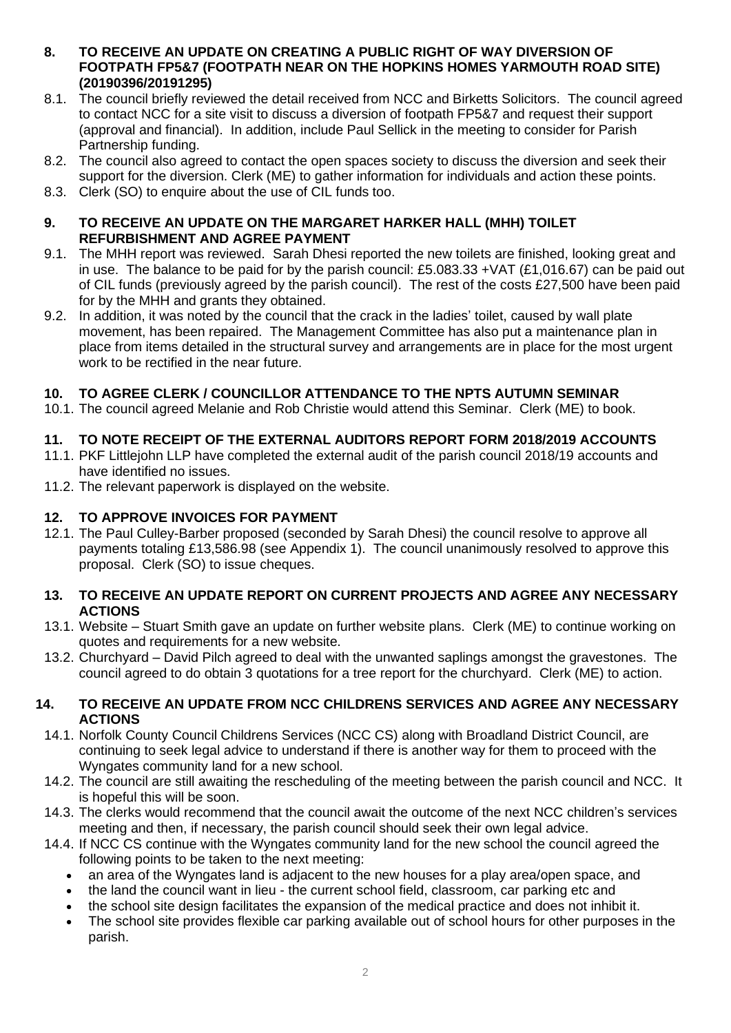#### **8. TO RECEIVE AN UPDATE ON CREATING A PUBLIC RIGHT OF WAY DIVERSION OF FOOTPATH FP5&7 (FOOTPATH NEAR ON THE HOPKINS HOMES YARMOUTH ROAD SITE) (20190396/20191295)**

- 8.1. The council briefly reviewed the detail received from NCC and Birketts Solicitors. The council agreed to contact NCC for a site visit to discuss a diversion of footpath FP5&7 and request their support (approval and financial). In addition, include Paul Sellick in the meeting to consider for Parish Partnership funding.
- 8.2. The council also agreed to contact the open spaces society to discuss the diversion and seek their support for the diversion. Clerk (ME) to gather information for individuals and action these points.
- 8.3. Clerk (SO) to enquire about the use of CIL funds too.

## **9. TO RECEIVE AN UPDATE ON THE MARGARET HARKER HALL (MHH) TOILET REFURBISHMENT AND AGREE PAYMENT**

- 9.1. The MHH report was reviewed. Sarah Dhesi reported the new toilets are finished, looking great and in use. The balance to be paid for by the parish council: £5.083.33 +VAT (£1,016.67) can be paid out of CIL funds (previously agreed by the parish council). The rest of the costs £27,500 have been paid for by the MHH and grants they obtained.
- 9.2. In addition, it was noted by the council that the crack in the ladies' toilet, caused by wall plate movement, has been repaired. The Management Committee has also put a maintenance plan in place from items detailed in the structural survey and arrangements are in place for the most urgent work to be rectified in the near future.

# **10. TO AGREE CLERK / COUNCILLOR ATTENDANCE TO THE NPTS AUTUMN SEMINAR**

10.1. The council agreed Melanie and Rob Christie would attend this Seminar. Clerk (ME) to book.

# **11. TO NOTE RECEIPT OF THE EXTERNAL AUDITORS REPORT FORM 2018/2019 ACCOUNTS**

- 11.1. PKF Littlejohn LLP have completed the external audit of the parish council 2018/19 accounts and have identified no issues.
- 11.2. The relevant paperwork is displayed on the website.

# **12. TO APPROVE INVOICES FOR PAYMENT**

12.1. The Paul Culley-Barber proposed (seconded by Sarah Dhesi) the council resolve to approve all payments totaling £13,586.98 (see Appendix 1). The council unanimously resolved to approve this proposal. Clerk (SO) to issue cheques.

## **13. TO RECEIVE AN UPDATE REPORT ON CURRENT PROJECTS AND AGREE ANY NECESSARY ACTIONS**

- 13.1. Website Stuart Smith gave an update on further website plans. Clerk (ME) to continue working on quotes and requirements for a new website.
- 13.2. Churchyard David Pilch agreed to deal with the unwanted saplings amongst the gravestones. The council agreed to do obtain 3 quotations for a tree report for the churchyard. Clerk (ME) to action.

#### **14. TO RECEIVE AN UPDATE FROM NCC CHILDRENS SERVICES AND AGREE ANY NECESSARY ACTIONS**

- 14.1. Norfolk County Council Childrens Services (NCC CS) along with Broadland District Council, are continuing to seek legal advice to understand if there is another way for them to proceed with the Wyngates community land for a new school.
- 14.2. The council are still awaiting the rescheduling of the meeting between the parish council and NCC. It is hopeful this will be soon.
- 14.3. The clerks would recommend that the council await the outcome of the next NCC children's services meeting and then, if necessary, the parish council should seek their own legal advice.
- 14.4. If NCC CS continue with the Wyngates community land for the new school the council agreed the following points to be taken to the next meeting:
	- an area of the Wyngates land is adjacent to the new houses for a play area/open space, and
	- the land the council want in lieu the current school field, classroom, car parking etc and
	- the school site design facilitates the expansion of the medical practice and does not inhibit it.
	- The school site provides flexible car parking available out of school hours for other purposes in the parish.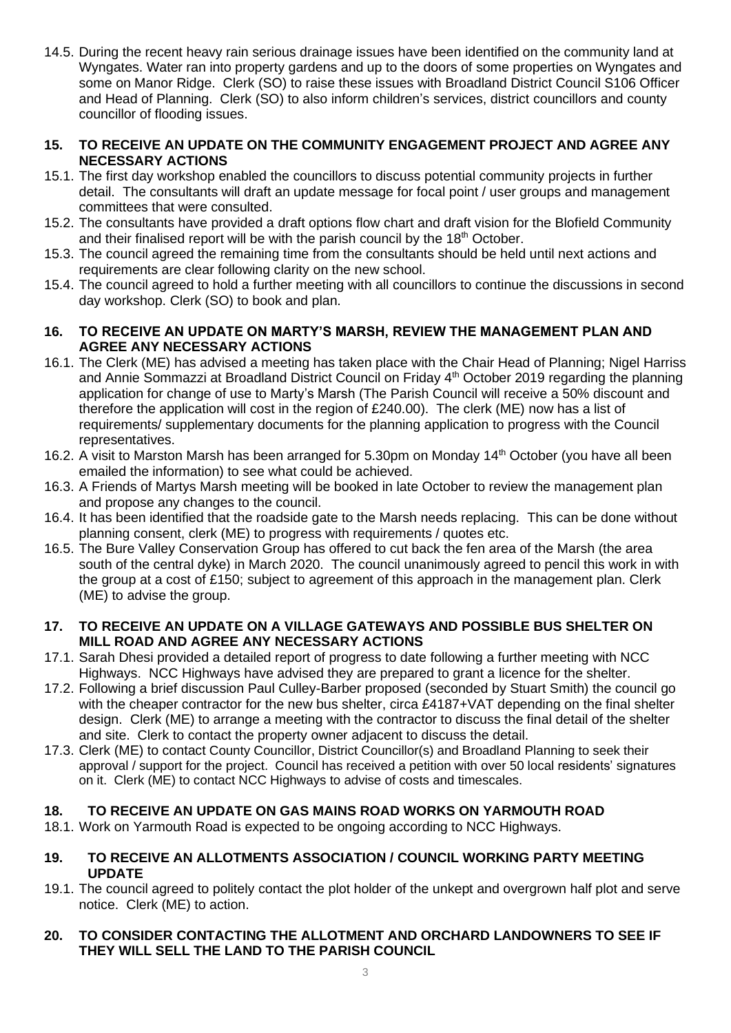14.5. During the recent heavy rain serious drainage issues have been identified on the community land at Wyngates. Water ran into property gardens and up to the doors of some properties on Wyngates and some on Manor Ridge. Clerk (SO) to raise these issues with Broadland District Council S106 Officer and Head of Planning. Clerk (SO) to also inform children's services, district councillors and county councillor of flooding issues.

## **15. TO RECEIVE AN UPDATE ON THE COMMUNITY ENGAGEMENT PROJECT AND AGREE ANY NECESSARY ACTIONS**

- 15.1. The first day workshop enabled the councillors to discuss potential community projects in further detail. The consultants will draft an update message for focal point / user groups and management committees that were consulted.
- 15.2. The consultants have provided a draft options flow chart and draft vision for the Blofield Community and their finalised report will be with the parish council by the 18<sup>th</sup> October.
- 15.3. The council agreed the remaining time from the consultants should be held until next actions and requirements are clear following clarity on the new school.
- 15.4. The council agreed to hold a further meeting with all councillors to continue the discussions in second day workshop. Clerk (SO) to book and plan.

## **16. TO RECEIVE AN UPDATE ON MARTY'S MARSH, REVIEW THE MANAGEMENT PLAN AND AGREE ANY NECESSARY ACTIONS**

- 16.1. The Clerk (ME) has advised a meeting has taken place with the Chair Head of Planning; Nigel Harriss and Annie Sommazzi at Broadland District Council on Friday 4th October 2019 regarding the planning application for change of use to Marty's Marsh (The Parish Council will receive a 50% discount and therefore the application will cost in the region of £240.00). The clerk (ME) now has a list of requirements/ supplementary documents for the planning application to progress with the Council representatives.
- 16.2. A visit to Marston Marsh has been arranged for 5.30pm on Monday 14<sup>th</sup> October (you have all been emailed the information) to see what could be achieved.
- 16.3. A Friends of Martys Marsh meeting will be booked in late October to review the management plan and propose any changes to the council.
- 16.4. It has been identified that the roadside gate to the Marsh needs replacing. This can be done without planning consent, clerk (ME) to progress with requirements / quotes etc.
- 16.5. The Bure Valley Conservation Group has offered to cut back the fen area of the Marsh (the area south of the central dyke) in March 2020. The council unanimously agreed to pencil this work in with the group at a cost of £150; subject to agreement of this approach in the management plan. Clerk (ME) to advise the group.

## **17. TO RECEIVE AN UPDATE ON A VILLAGE GATEWAYS AND POSSIBLE BUS SHELTER ON MILL ROAD AND AGREE ANY NECESSARY ACTIONS**

- 17.1. Sarah Dhesi provided a detailed report of progress to date following a further meeting with NCC Highways. NCC Highways have advised they are prepared to grant a licence for the shelter.
- 17.2. Following a brief discussion Paul Culley-Barber proposed (seconded by Stuart Smith) the council go with the cheaper contractor for the new bus shelter, circa £4187+VAT depending on the final shelter design. Clerk (ME) to arrange a meeting with the contractor to discuss the final detail of the shelter and site. Clerk to contact the property owner adjacent to discuss the detail.
- 17.3. Clerk (ME) to contact County Councillor, District Councillor(s) and Broadland Planning to seek their approval / support for the project. Council has received a petition with over 50 local residents' signatures on it. Clerk (ME) to contact NCC Highways to advise of costs and timescales.

# **18. TO RECEIVE AN UPDATE ON GAS MAINS ROAD WORKS ON YARMOUTH ROAD**

18.1. Work on Yarmouth Road is expected to be ongoing according to NCC Highways.

#### **19. TO RECEIVE AN ALLOTMENTS ASSOCIATION / COUNCIL WORKING PARTY MEETING UPDATE**

19.1. The council agreed to politely contact the plot holder of the unkept and overgrown half plot and serve notice. Clerk (ME) to action.

## **20. TO CONSIDER CONTACTING THE ALLOTMENT AND ORCHARD LANDOWNERS TO SEE IF THEY WILL SELL THE LAND TO THE PARISH COUNCIL**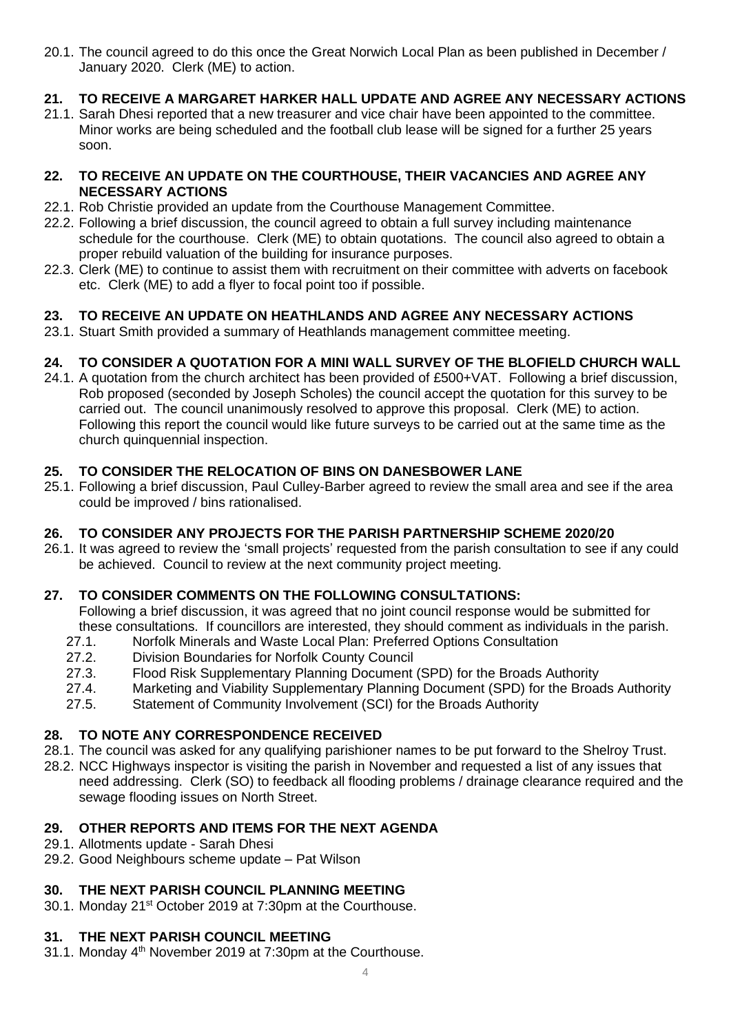20.1. The council agreed to do this once the Great Norwich Local Plan as been published in December / January 2020. Clerk (ME) to action.

# **21. TO RECEIVE A MARGARET HARKER HALL UPDATE AND AGREE ANY NECESSARY ACTIONS**

21.1. Sarah Dhesi reported that a new treasurer and vice chair have been appointed to the committee. Minor works are being scheduled and the football club lease will be signed for a further 25 years soon.

## **22. TO RECEIVE AN UPDATE ON THE COURTHOUSE, THEIR VACANCIES AND AGREE ANY NECESSARY ACTIONS**

- 22.1. Rob Christie provided an update from the Courthouse Management Committee.
- 22.2. Following a brief discussion, the council agreed to obtain a full survey including maintenance schedule for the courthouse. Clerk (ME) to obtain quotations. The council also agreed to obtain a proper rebuild valuation of the building for insurance purposes.
- 22.3. Clerk (ME) to continue to assist them with recruitment on their committee with adverts on facebook etc. Clerk (ME) to add a flyer to focal point too if possible.

# **23. TO RECEIVE AN UPDATE ON HEATHLANDS AND AGREE ANY NECESSARY ACTIONS**

23.1. Stuart Smith provided a summary of Heathlands management committee meeting.

# **24. TO CONSIDER A QUOTATION FOR A MINI WALL SURVEY OF THE BLOFIELD CHURCH WALL**

24.1. A quotation from the church architect has been provided of £500+VAT. Following a brief discussion, Rob proposed (seconded by Joseph Scholes) the council accept the quotation for this survey to be carried out. The council unanimously resolved to approve this proposal. Clerk (ME) to action. Following this report the council would like future surveys to be carried out at the same time as the church quinquennial inspection.

# **25. TO CONSIDER THE RELOCATION OF BINS ON DANESBOWER LANE**

25.1. Following a brief discussion, Paul Culley-Barber agreed to review the small area and see if the area could be improved / bins rationalised.

# **26. TO CONSIDER ANY PROJECTS FOR THE PARISH PARTNERSHIP SCHEME 2020/20**

26.1. It was agreed to review the 'small projects' requested from the parish consultation to see if any could be achieved. Council to review at the next community project meeting.

# **27. TO CONSIDER COMMENTS ON THE FOLLOWING CONSULTATIONS:**

Following a brief discussion, it was agreed that no joint council response would be submitted for these consultations. If councillors are interested, they should comment as individuals in the parish.

- 27.1. Norfolk Minerals and Waste Local Plan: Preferred Options Consultation
- 27.2. Division Boundaries for Norfolk County Council
- 27.3. Flood Risk Supplementary Planning Document (SPD) for the Broads Authority
- 27.4. Marketing and Viability Supplementary Planning Document (SPD) for the Broads Authority
- 27.5. Statement of Community Involvement (SCI) for the Broads Authority

# **28. TO NOTE ANY CORRESPONDENCE RECEIVED**

- 28.1. The council was asked for any qualifying parishioner names to be put forward to the Shelroy Trust.
- 28.2. NCC Highways inspector is visiting the parish in November and requested a list of any issues that need addressing. Clerk (SO) to feedback all flooding problems / drainage clearance required and the sewage flooding issues on North Street.

# **29. OTHER REPORTS AND ITEMS FOR THE NEXT AGENDA**

- 29.1. Allotments update Sarah Dhesi
- 29.2. Good Neighbours scheme update Pat Wilson

# **30. THE NEXT PARISH COUNCIL PLANNING MEETING**

30.1. Monday 21<sup>st</sup> October 2019 at 7:30pm at the Courthouse.

# **31. THE NEXT PARISH COUNCIL MEETING**

31.1. Monday 4<sup>th</sup> November 2019 at 7:30pm at the Courthouse.